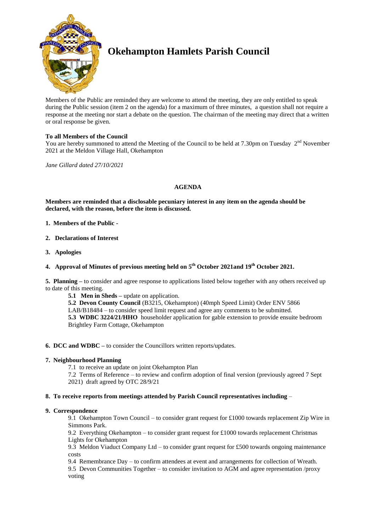

# **Okehampton Hamlets Parish Council**

Members of the Public are reminded they are welcome to attend the meeting, they are only entitled to speak during the Public session (item 2 on the agenda) for a maximum of three minutes, a question shall not require a response at the meeting nor start a debate on the question. The chairman of the meeting may direct that a written or oral response be given.

# **To all Members of the Council**

You are hereby summoned to attend the Meeting of the Council to be held at 7.30pm on Tuesday  $2<sup>nd</sup>$  November 2021 at the Meldon Village Hall, Okehampton

*Jane Gillard dated 27/10/2021*

# **AGENDA**

**Members are reminded that a disclosable pecuniary interest in any item on the agenda should be declared, with the reason, before the item is discussed.** 

- **1. Members of the Public -**
- **2. Declarations of Interest**
- **3. Apologies**

# **4. Approval of Minutes of previous meeting held on 5 th October 2021and 19th October 2021.**

**5. Planning –** to consider and agree response to applications listed below together with any others received up to date of this meeting.

**5.1 Men in Sheds –** update on application.

**5.2 Devon County Council** (B3215, Okehampton) (40mph Speed Limit) Order ENV 5866 LAB/B18484 – to consider speed limit request and agree any comments to be submitted. **5.3 WDBC 3224/21/HHO** householder application for gable extension to provide ensuite bedroom Brightley Farm Cottage, Okehampton

## **6. DCC and WDBC –** to consider the Councillors written reports/updates.

# **7. Neighbourhood Planning**

- 7.1 to receive an update on joint Okehampton Plan
- 7.2 Terms of Reference to review and confirm adoption of final version (previously agreed 7 Sept 2021) draft agreed by OTC 28/9/21

## **8. To receive reports from meetings attended by Parish Council representatives including** –

## **9. Correspondence**

9.1 Okehampton Town Council – to consider grant request for £1000 towards replacement Zip Wire in Simmons Park.

9.2 Everything Okehampton – to consider grant request for £1000 towards replacement Christmas Lights for Okehampton

9.3 Meldon Viaduct Company Ltd – to consider grant request for £500 towards ongoing maintenance costs

9.4 Remembrance Day – to confirm attendees at event and arrangements for collection of Wreath. 9.5 Devon Communities Together – to consider invitation to AGM and agree representation /proxy voting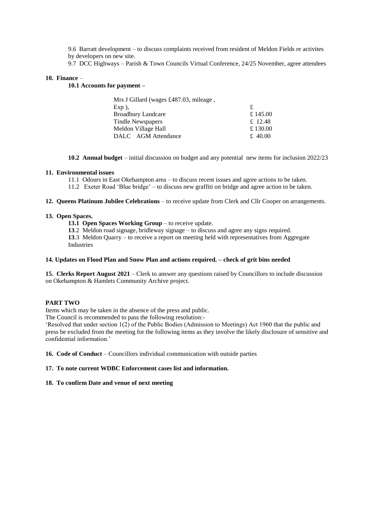9.6 Barratt development – to discuss complaints received from resident of Meldon Fields re activites by developers on new site.

9.7 DCC Highways – Parish & Town Councils Virtual Conference, 24/25 November, agree attendees

#### **10. Finance** –

**10.1 Accounts for payment –**

| Mrs J Gillard (wages £487.03, mileage, |          |
|----------------------------------------|----------|
| $Exp$ ),                               | £        |
| <b>Broadbury Landcare</b>              | £ 145.00 |
| Tindle Newspapers                      | £ 12.48  |
| Meldon Village Hall                    | £ 130.00 |
| DALC AGM Attendance                    | £ 40.00  |

**10.2 Annual budget** – initial discussion on budget and any potential new items for inclusion 2022/23

#### **11. Environmental issues**

- 11.1 Odours in East Okehampton area to discuss recent issues and agree actions to be taken.
- 11.2 Exeter Road 'Blue bridge' to discuss new graffiti on bridge and agree action to be taken.

**12. Queens Platinum Jubilee Celebrations** – to receive update from Clerk and Cllr Cooper on arrangements.

#### **13. Open Spaces.**

- **13.1 Open Spaces Working Group** to receive update.
- **13**.2 Meldon road signage, bridleway signage to discuss and agree any signs required.

**13**.3 Meldon Quarry – to receive a report on meeting held with representatives from Aggregate Industries

#### **14. Updates on Flood Plan and Snow Plan and actions required. – check of grit bins needed**

**15. Clerks Report August 2021** – Clerk to answer any questions raised by Councillors to include discussion on Okehampton & Hamlets Community Archive project.

## **PART TWO**

Items which may be taken in the absence of the press and public.

The Council is recommended to pass the following resolution:-

'Resolved that under section 1(2) of the Public Bodies (Admission to Meetings) Act 1960 that the public and press be excluded from the meeting for the following items as they involve the likely disclosure of sensitive and confidential information.'

**16. Code of Conduct** – Councillors individual communication with outside parties

#### **17. To note current WDBC Enforcement cases list and information.**

## **18. To confirm Date and venue of next meeting**